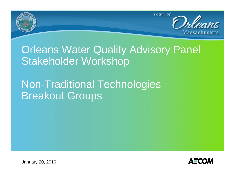

# **Orleans Water Quality Advisory Panel** Stakeholder Workshop

# Non-Traditional Technologies Breakout Groups



January 20, 2016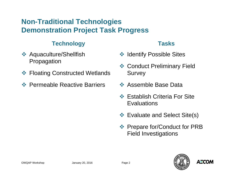### **Non-Traditional Technologies Demonstration Project Task Progress**

#### **Technology**

- **❖ Aquaculture/Shellfish** Propagation
- **❖ Floating Constructed Wetlands**
- **❖ Permeable Reactive Barriers**

#### **Tasks**

- **❖ Identify Possible Sites**
- **❖ Conduct Preliminary Field Survey**
- **❖ Assemble Base Data**
- **❖ Establish Criteria For Site Evaluations**
- Evaluate and Select Site(s)
- **Extemple Fort Propring PRP**  $\bullet$  Prepare for  $PRB$ Field Investigations

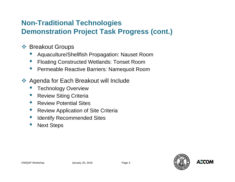### **Non-Traditional Technologies Demonstration Project Task Progress (cont.)**

- **S** Breakout Groups
	- •Aquaculture/Shellfish Propagation: Nauset Room
	- •Floating Constructed Wetlands: Tonset Room
	- •Permeable Reactive Barriers: Namequoit Room
- ◆ Agenda for Each Breakout will Include
	- •Technology Overview
	- •Review Siting Criteria
	- •Review Potential Sites
	- •Review Application of Site Criteria
	- •Identify Recommended Sites
	- •Next Steps

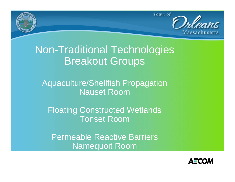

# Non-Traditional Technologies Breakout Groups

Aquaculture/Shellfish Propagation Nauset Room

Floating Constructed Wetlands Tonset Room

Permeable Reactive BarriersNamequoit Room

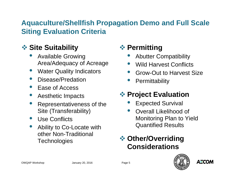### **Aquaculture/Shellfish Propagation Demo and Full Scale Siting Evaluation Criteria**

### **Site Suitability**

- $\bullet$  Available Growing Area/Adequacy of Acreage
- Water Quality Indicators
- $\bullet$ Disease/Predation
- Ease of Access
- $\bullet$ Aesthetic Impacts
- $\bullet$  Representativeness of the Site (Transferability)
- $\bullet$ Use Conflicts
- $\bullet$  Ability to Co-Locate with other Non-Traditional **Technologies**

## **❖ Permitting**

- $\bullet$ Abutter Compatibility
- $\bullet$ Wild Harvest Conflicts
- $\bullet$ Grow-Out to Harvest Size
- $\bullet$ **Permittability**

## **Project Evaluation**

- •Expected Survival
- $\bullet$  Overall Likelihood of Monitoring Plan to Yield Quantified Results

### **Other/Overriding Considerations**

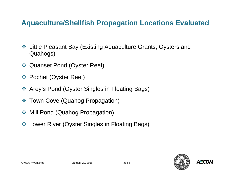### **Aquaculture/Shellfish Propagation Locations Evaluated**

- Little Pleasant Bay (Existing Aquaculture Grants, Oysters and Quahogs)
- ◆ Quanset Pond (Oyster Reef)
- Pochet (Oyster Reef)
- Arey's Pond (Oyster Singles in Floating Bags)
- Town Cove (Quahog Propagation)
- Mill Pond (Quahog Propagation)
- Lower River (Oyster Singles in Floating Bags)

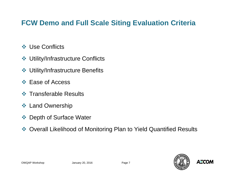### **FCW Demo and Full Scale Siting Evaluation Criteria**

- **❖ Use Conflicts**
- Utility/Infrastructure Conflicts
- Utility/Infrastructure Benefits
- **☆ Ease of Access**
- **❖ Transferable Results**
- ❖ Land Ownership
- Depth of Surface Water
- ◆ Overall Likelihood of Monitoring Plan to Yield Quantified Results

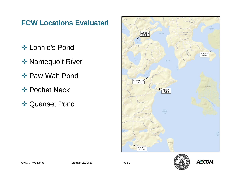### **FCW Locations Evaluated**

- **❖ Lonnie's Pond**
- **❖ Namequoit River**
- **❖ Paw Wah Pond**
- **❖ Pochet Neck**
- **❖ Quanset Pond**



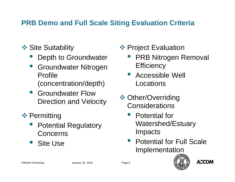### **PRB Demo and Full Scale Siting Evaluation Criteria**

- **❖ Site Suitability** 
	- $\bullet$ Depth to Groundwater
	- • Groundwater Nitrogen Profile (concentration/depth)
	- Groundwater Flow Direction and Velocity
- **❖ Permitting** 
	- $\bullet$  Potential Regulatory **Concerns**
	- $\bullet$ Site Use
- **❖ Project Evaluation** 
	- $\bullet$  PRB Nitrogen Removal **Efficiency**
	- Accessible Well Locations
- **❖ Other/Overriding Considerations** 
	- • Potential for Watershed/Estuary Impacts
	- Potential for Full Scale Implementation